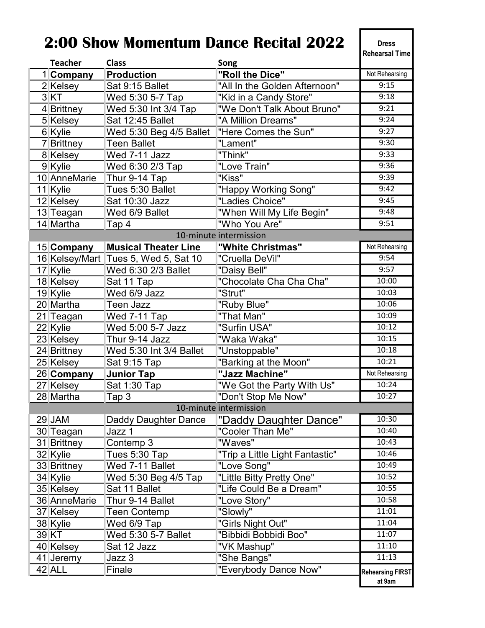## 2:00 Show Momentum Dance Recital 2022

Dress Rehearsal Time

| <b>Teacher</b>         | <b>Class</b>                         | Song                            |                         |  |
|------------------------|--------------------------------------|---------------------------------|-------------------------|--|
| 1 Company              | <b>Production</b>                    | "Roll the Dice"                 | Not Rehearsing          |  |
| 2 Kelsey               | Sat 9:15 Ballet                      | "All In the Golden Afternoon"   | 9:15                    |  |
| 3KT                    | Wed 5:30 5-7 Tap                     | "Kid in a Candy Store"          | 9:18                    |  |
| 4 Brittney             | Wed 5:30 Int 3/4 Tap                 | "We Don't Talk About Bruno"     | 9:21                    |  |
| 5 Kelsey               | Sat 12:45 Ballet                     | "A Million Dreams"              | 9:24                    |  |
| 6 Kylie                | Wed 5:30 Beg 4/5 Ballet              | "Here Comes the Sun"            | 9:27                    |  |
| 7 Brittney             | <b>Teen Ballet</b>                   | "Lament"                        | 9:30                    |  |
| 8 Kelsey               | $\overline{\text{Wed}}$ 7-11 Jazz    | "Think"                         | 9:33                    |  |
| 9 Kylie                | Wed 6:30 2/3 Tap                     | "Love Train"                    | 9:36                    |  |
| 10 AnneMarie           | Thur 9-14 Tap                        | "Kiss"                          | 9:39                    |  |
| 11 Kylie               | Tues 5:30 Ballet                     | "Happy Working Song"            | 9:42                    |  |
| 12 Kelsey              | Sat 10:30 Jazz                       | "Ladies Choice"                 | 9:45                    |  |
| 13 Teagan              | Wed 6/9 Ballet                       | "When Will My Life Begin"       | 9:48                    |  |
| 14 Martha              | Tap 4                                | "Who You Are"                   | 9:51                    |  |
|                        |                                      | 10-minute intermission          |                         |  |
| 15 Company             | <b>Musical Theater Line</b>          | "White Christmas"               | Not Rehearsing          |  |
|                        | 16 Kelsey/Mart Tues 5, Wed 5, Sat 10 | "Cruella DeVil"                 | 9:54                    |  |
| 17 Kylie               | Wed 6:30 2/3 Ballet                  | "Daisy Bell"                    | 9:57                    |  |
| 18 Kelsey              | Sat 11 Tap                           | "Chocolate Cha Cha Cha"         | 10:00                   |  |
| 19 Kylie               | Wed 6/9 Jazz                         | "Strut"                         | 10:03                   |  |
| 20 Martha              | <b>Teen Jazz</b>                     | "Ruby Blue"                     | 10:06                   |  |
| 21 Teagan              | Wed 7-11 Tap                         | "That Man"                      | 10:09                   |  |
| 22 Kylie               | Wed 5:00 5-7 Jazz                    | "Surfin USA"                    | 10:12                   |  |
| 23 Kelsey              | Thur 9-14 Jazz                       | "Waka Waka"                     | 10:15                   |  |
| 24 Brittney            | Wed 5:30 Int 3/4 Ballet              | "Unstoppable"                   | 10:18                   |  |
| 25 Kelsey              | Sat 9:15 Tap                         | "Barking at the Moon"           | 10:21                   |  |
| 26 Company             | <b>Junior Tap</b>                    | "Jazz Machine"                  | Not Rehearsing          |  |
| 27 Kelsey              | Sat 1:30 Tap                         | "We Got the Party With Us"      | 10:24                   |  |
| 28 Martha              | Tap 3                                | "Don't Stop Me Now"             | 10:27                   |  |
| 10-minute intermission |                                      |                                 |                         |  |
| 29 JAM                 | Daddy Daughter Dance                 | "Daddy Daughter Dance"          | 10:30                   |  |
| 30 Teagan              | Jazz 1                               | "Cooler Than Me"                | 10:40                   |  |
| 31 Brittney            | Contemp 3                            | "Waves"                         | 10:43                   |  |
| 32 Kylie               | Tues 5:30 Tap                        | "Trip a Little Light Fantastic" | 10:46                   |  |
| 33 Brittney            | Wed 7-11 Ballet                      | "Love Song"                     | 10:49                   |  |
| 34 Kylie               | Wed 5:30 Beg 4/5 Tap                 | "Little Bitty Pretty One"       | 10:52                   |  |
| 35 Kelsey              | Sat 11 Ballet                        | "Life Could Be a Dream"         | 10:55                   |  |
| 36 AnneMarie           | Thur 9-14 Ballet                     | "Love Story"                    | 10:58                   |  |
| 37 Kelsey              | <b>Teen Contemp</b>                  | "Slowly"                        | 11:01                   |  |
| 38 Kylie               | Wed 6/9 Tap                          | "Girls Night Out"               | 11:04                   |  |
| 39 KT                  | Wed 5:30 5-7 Ballet                  | "Bibbidi Bobbidi Boo"           | 11:07                   |  |
| 40 Kelsey              | Sat 12 Jazz                          | "VK Mashup"                     | 11:10                   |  |
| 41 Jeremy              | Jazz 3                               | "She Bangs"                     | 11:13                   |  |
| 42 ALL                 | Finale                               | "Everybody Dance Now"           | <b>Rehearsing FIRST</b> |  |
|                        |                                      |                                 | at 9am                  |  |